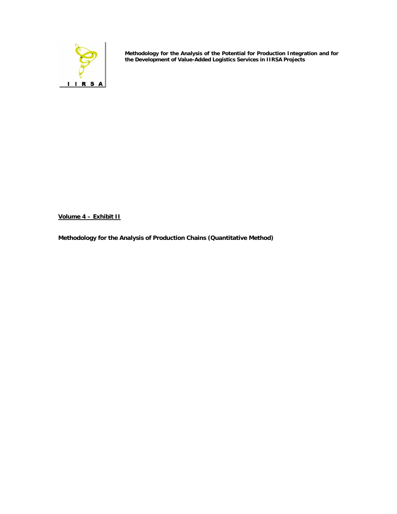

**Methodology for the Analysis of the Potential for Production Integration and for the Development of Value-Added Logistics Services in IIRSA Projects**

**Volume 4 – Exhibit II**

**Methodology for the Analysis of Production Chains (Quantitative Method)**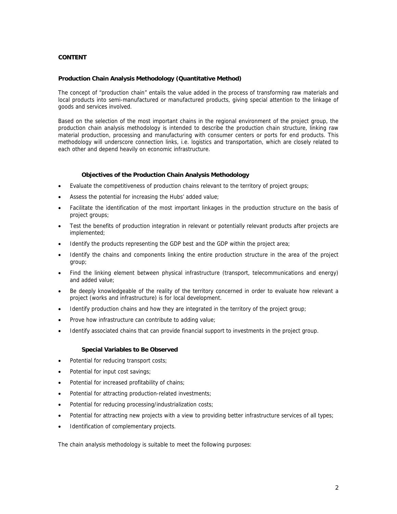# **CONTENT**

#### **Production Chain Analysis Methodology (Quantitative Method)**

The concept of "production chain" entails the value added in the process of transforming raw materials and local products into semi-manufactured or manufactured products, giving special attention to the linkage of goods and services involved.

Based on the selection of the most important chains in the regional environment of the project group, the production chain analysis methodology is intended to describe the production chain structure, linking raw material production, processing and manufacturing with consumer centers or ports for end products. This methodology will underscore connection links, i.e. logistics and transportation, which are closely related to each other and depend heavily on economic infrastructure.

#### **Objectives of the Production Chain Analysis Methodology**

- Evaluate the competitiveness of production chains relevant to the territory of project groups;
- Assess the potential for increasing the Hubs' added value;
- Facilitate the identification of the most important linkages in the production structure on the basis of project groups;
- Test the benefits of production integration in relevant or potentially relevant products after projects are implemented;
- Identify the products representing the GDP best and the GDP within the project area;
- Identify the chains and components linking the entire production structure in the area of the project group;
- Find the linking element between physical infrastructure (transport, telecommunications and energy) and added value;
- Be deeply knowledgeable of the reality of the territory concerned in order to evaluate how relevant a project (works and infrastructure) is for local development.
- Identify production chains and how they are integrated in the territory of the project group;
- Prove how infrastructure can contribute to adding value;
- Identify associated chains that can provide financial support to investments in the project group.

#### **Special Variables to Be Observed**

- Potential for reducing transport costs;
- Potential for input cost savings;
- Potential for increased profitability of chains;
- Potential for attracting production-related investments;
- Potential for reducing processing/industrialization costs;
- Potential for attracting new projects with a view to providing better infrastructure services of all types;
- Identification of complementary projects.

The chain analysis methodology is suitable to meet the following purposes: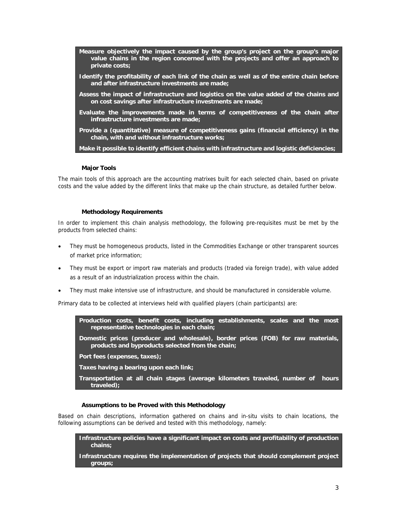- **Measure objectively the impact caused by the group's project on the group's major value chains in the region concerned with the projects and offer an approach to private costs;**
- **Identify the profitability of each link of the chain as well as of the entire chain before and after infrastructure investments are made;**
- **Assess the impact of infrastructure and logistics on the value added of the chains and on cost savings after infrastructure investments are made;**
- **Evaluate the improvements made in terms of competitiveness of the chain after infrastructure investments are made;**
- **Provide a (quantitative) measure of competitiveness gains (financial efficiency) in the chain, with and without infrastructure works;**

**Make it possible to identify efficient chains with infrastructure and logistic deficiencies;** 

## **Major Tools**

The main tools of this approach are the accounting matrixes built for each selected chain, based on private costs and the value added by the different links that make up the chain structure, as detailed further below.

#### **Methodology Requirements**

In order to implement this chain analysis methodology, the following pre-requisites must be met by the products from selected chains:

- They must be homogeneous products, listed in the Commodities Exchange or other transparent sources of market price information;
- They must be export or import raw materials and products (traded via foreign trade), with value added as a result of an industrialization process within the chain.
- They must make intensive use of infrastructure, and should be manufactured in considerable volume.

Primary data to be collected at interviews held with qualified players (chain participants) are:

**Production costs, benefit costs, including establishments, scales and the most representative technologies in each chain;** 

**Domestic prices (producer and wholesale), border prices (FOB) for raw materials, products and byproducts selected from the chain;** 

**Port fees (expenses, taxes);** 

**Taxes having a bearing upon each link;** 

**Transportation at all chain stages (average kilometers traveled, number of hours traveled);** 

# **Assumptions to be Proved with this Methodology**

Based on chain descriptions, information gathered on chains and in-situ visits to chain locations, the following assumptions can be derived and tested with this methodology, namely:

**Infrastructure policies have a significant impact on costs and profitability of production chains;** 

**Infrastructure requires the implementation of projects that should complement project groups;**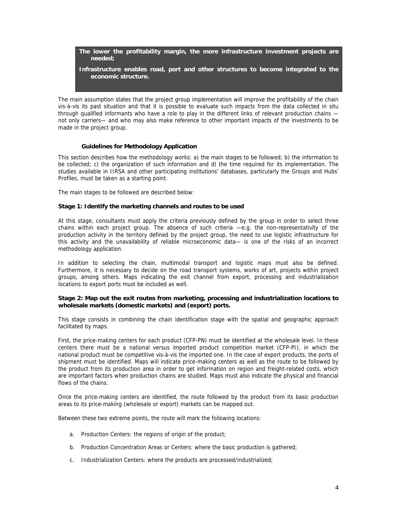**The lower the profitability margin, the more infrastructure investment projects are needed;** 

**Infrastructure enables road, port and other structures to become integrated to the economic structure.** 

The main assumption states that the project group implementation will improve the profitability of the chain vis-à-vis its past situation and that it is possible to evaluate such impacts from the data collected in situ through qualified informants who have a role to play in the different links of relevant production chains not only carriers— and who may also make reference to other important impacts of the investments to be made in the project group.

#### **Guidelines for Methodology Application**

This section describes how the methodology works: a) the main stages to be followed; b) the information to be collected; c) the organization of such information and d) the time required for its implementation. The studies available in IIRSA and other participating institutions' databases, particularly the Groups and Hubs' Profiles, must be taken as a starting point.

The main stages to be followed are described below:

#### **Stage 1: Identify the marketing channels and routes to be used**

At this stage, consultants must apply the criteria previously defined by the group in order to select three chains within each project group. The absence of such criteria —e.g. the non-representativity of the production activity in the territory defined by the project group, the need to use logistic infrastructure for this activity and the unavailability of reliable microeconomic data— is one of the risks of an incorrect methodology application.

In addition to selecting the chain, multimodal transport and logistic maps must also be defined. Furthermore, it is necessary to decide on the road transport systems, works of art, projects within project groups, among others. Maps indicating the exit channel from export, processing and industrialization locations to export ports must be included as well.

#### **Stage 2: Map out the exit routes from marketing, processing and industrialization locations to wholesale markets (domestic markets) and (export) ports.**

This stage consists in combining the chain identification stage with the spatial and geographic approach facilitated by maps.

First, the price-making centers for each product (CFP-PN) must be identified at the wholesale level. In these centers there must be a national versus imported product competition market (CFP-PI), in which the national product must be competitive vis-à-vis the imported one. In the case of export products, the ports of shipment must be identified. Maps will indicate price-making centers as well as the route to be followed by the product from its production area in order to get information on region and freight-related costs, which are important factors when production chains are studied. Maps must also indicate the physical and financial flows of the chains.

Once the price-making centers are identified, the route followed by the product from its basic production areas to its price-making (wholesale or export) markets can be mapped out.

Between these two extreme points, the route will mark the following locations:

- a. Production Centers: the regions of origin of the product;
- b. Production Concentration Areas or Centers: where the basic production is gathered;
- c. Industrialization Centers: where the products are processed/industrialized;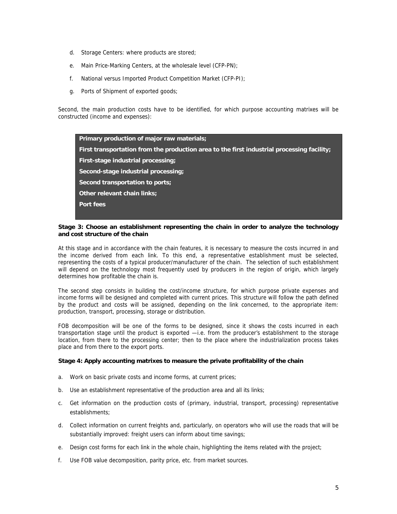- d. Storage Centers: where products are stored;
- e. Main Price-Marking Centers, at the wholesale level (CFP-PN);
- f. National versus Imported Product Competition Market (CFP-PI);
- g. Ports of Shipment of exported goods;

Second, the main production costs have to be identified, for which purpose accounting matrixes will be constructed (income and expenses):

**Primary production of major raw materials; First transportation from the production area to the first industrial processing facility; First-stage industrial processing; Second-stage industrial processing; Second transportation to ports; Other relevant chain links; Port fees** 

#### **Stage 3: Choose an establishment representing the chain in order to analyze the technology and cost structure of the chain**

At this stage and in accordance with the chain features, it is necessary to measure the costs incurred in and the income derived from each link. To this end, a representative establishment must be selected, representing the costs of a typical producer/manufacturer of the chain. The selection of such establishment will depend on the technology most frequently used by producers in the region of origin, which largely determines how profitable the chain is.

The second step consists in building the cost/income structure, for which purpose private expenses and income forms will be designed and completed with current prices. This structure will follow the path defined by the product and costs will be assigned, depending on the link concerned, to the appropriate item: production, transport, processing, storage or distribution.

FOB decomposition will be one of the forms to be designed, since it shows the costs incurred in each transportation stage until the product is exported —i.e. from the producer's establishment to the storage location, from there to the processing center; then to the place where the industrialization process takes place and from there to the export ports.

#### **Stage 4: Apply accounting matrixes to measure the private profitability of the chain**

- a. Work on basic private costs and income forms, at current prices;
- b. Use an establishment representative of the production area and all its links;
- c. Get information on the production costs of (primary, industrial, transport, processing) representative establishments;
- d. Collect information on current freights and, particularly, on operators who will use the roads that will be substantially improved: freight users can inform about time savings;
- e. Design cost forms for each link in the whole chain, highlighting the items related with the project;
- f. Use FOB value decomposition, parity price, etc. from market sources.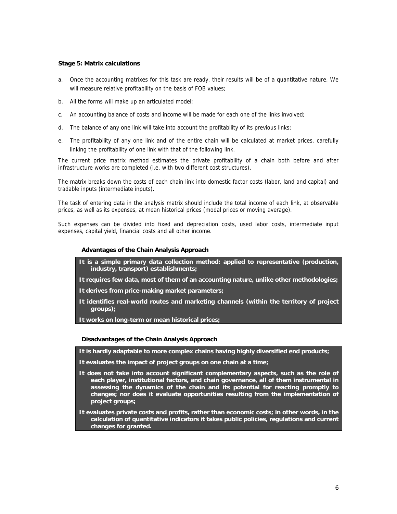## **Stage 5: Matrix calculations**

- a. Once the accounting matrixes for this task are ready, their results will be of a quantitative nature. We will measure relative profitability on the basis of FOB values;
- b. All the forms will make up an articulated model;
- c. An accounting balance of costs and income will be made for each one of the links involved;
- d. The balance of any one link will take into account the profitability of its previous links;
- e. The profitability of any one link and of the entire chain will be calculated at market prices, carefully linking the profitability of one link with that of the following link.

The current price matrix method estimates the private profitability of a chain both before and after infrastructure works are completed (i.e. with two different cost structures).

The matrix breaks down the costs of each chain link into domestic factor costs (labor, land and capital) and tradable inputs (intermediate inputs).

The task of entering data in the analysis matrix should include the total income of each link, at observable prices, as well as its expenses, at mean historical prices (modal prices or moving average).

Such expenses can be divided into fixed and depreciation costs, used labor costs, intermediate input expenses, capital yield, financial costs and all other income.

#### **Advantages of the Chain Analysis Approach**

- **It is a simple primary data collection method: applied to representative (production, industry, transport) establishments;**
- **It requires few data, most of them of an accounting nature, unlike other methodologies;**
- **It derives from price-making market parameters;**
- **It identifies real-world routes and marketing channels (within the territory of project groups);**
- **It works on long-term or mean historical prices;**

#### **Disadvantages of the Chain Analysis Approach**

**It is hardly adaptable to more complex chains having highly diversified end products;** 

- **It evaluates the impact of project groups on one chain at a time;**
- **It does not take into account significant complementary aspects, such as the role of each player, institutional factors, and chain governance, all of them instrumental in assessing the dynamics of the chain and its potential for reacting promptly to changes; nor does it evaluate opportunities resulting from the implementation of project groups;**
- **It evaluates private costs and profits, rather than economic costs; in other words, in the calculation of quantitative indicators it takes public policies, regulations and current changes for granted.**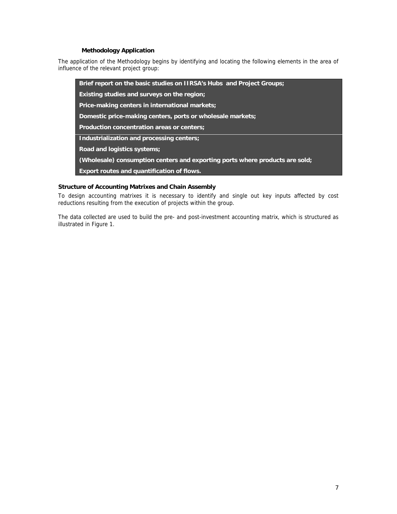# **Methodology Application**

The application of the Methodology begins by identifying and locating the following elements in the area of influence of the relevant project group:

**Brief report on the basic studies on IIRSA's Hubs and Project Groups; Existing studies and surveys on the region; Price-making centers in international markets; Domestic price-making centers, ports or wholesale markets; Production concentration areas or centers; Industrialization and processing centers; Road and logistics systems; (Wholesale) consumption centers and exporting ports where products are sold; Export routes and quantification of flows.** 

## **Structure of Accounting Matrixes and Chain Assembly**

To design accounting matrixes it is necessary to identify and single out key inputs affected by cost reductions resulting from the execution of projects within the group.

The data collected are used to build the pre- and post-investment accounting matrix, which is structured as illustrated in Figure 1.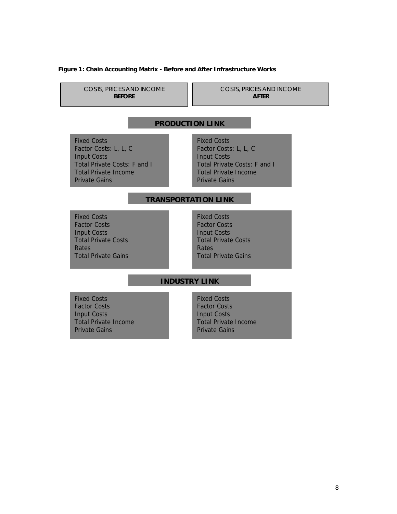#### **Figure 1: Chain Accounting Matrix - Before and After Infrastructure Works**

COSTS, PRICES AND INCOME **BEFORE** 

COSTS, PRICES AND INCOME **AFTER** 

# **PRODUCTION LINK**

Fixed Costs Factor Costs: L, L, C Input Costs [Total Private Costs: F and I](#page-13-0)  Total Private Income Private Gains

Fixed Costs Factor Costs: L, L, C Input Costs Total Private Costs: F and I Total Private Income Private Gains

# **TRANSPORTATION LINK**

Fixed Costs Factor Costs Input Costs Total Private Costs Rates Total Private Gains Fixed Costs Factor Costs Input Costs Total Private Costs Rates Total Private Gains

# **INDUSTRY LINK**

Fixed Costs Factor Costs Input Costs Total Private Income Private Gains

Fixed Costs Factor Costs Input Costs Total Private Income Private Gains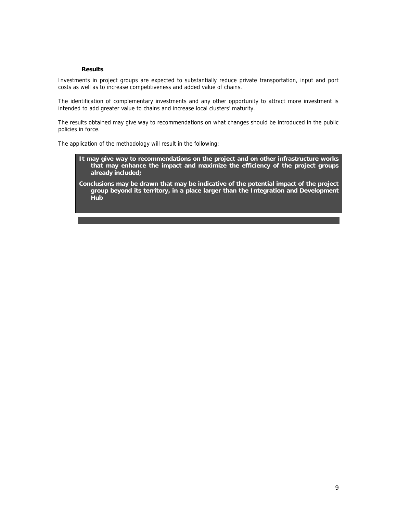#### **Results**

Investments in project groups are expected to substantially reduce private transportation, input and port costs as well as to increase competitiveness and added value of chains.

The identification of complementary investments and any other opportunity to attract more investment is intended to add greater value to chains and increase local clusters' maturity.

The results obtained may give way to recommendations on what changes should be introduced in the public policies in force.

The application of the methodology will result in the following:

- **It may give way to recommendations on the project and on other infrastructure works that may enhance the impact and maximize the efficiency of the project groups already included;**
- **Conclusions may be drawn that may be indicative of the potential impact of the project group beyond its territory, in a place larger than the Integration and Development Hub**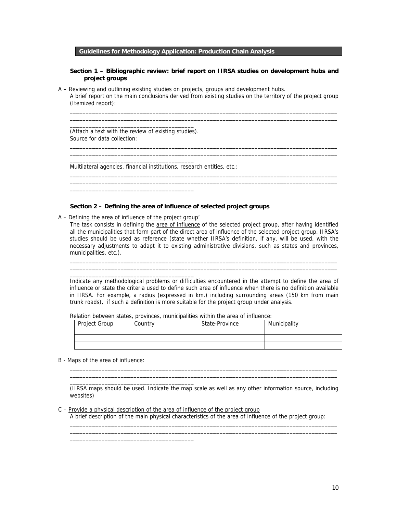## **Guidelines for Methodology Application: Production Chain Analysis**

#### **Section 1 – Bibliographic review: brief report on IIRSA studies on development hubs and project groups**

\_\_\_\_\_\_\_\_\_\_\_\_\_\_\_\_\_\_\_\_\_\_\_\_\_\_\_\_\_\_\_\_\_\_\_\_\_\_\_\_\_\_\_\_\_\_\_\_\_\_\_\_\_\_\_\_\_\_\_\_\_\_\_\_\_\_\_\_\_\_\_\_\_\_\_\_\_\_\_\_\_\_\_\_ \_\_\_\_\_\_\_\_\_\_\_\_\_\_\_\_\_\_\_\_\_\_\_\_\_\_\_\_\_\_\_\_\_\_\_\_\_\_\_\_\_\_\_\_\_\_\_\_\_\_\_\_\_\_\_\_\_\_\_\_\_\_\_\_\_\_\_\_\_\_\_\_\_\_\_\_\_\_\_\_\_\_\_\_

\_\_\_\_\_\_\_\_\_\_\_\_\_\_\_\_\_\_\_\_\_\_\_\_\_\_\_\_\_\_\_\_\_\_\_\_\_\_\_\_\_\_\_\_\_\_\_\_\_\_\_\_\_\_\_\_\_\_\_\_\_\_\_\_\_\_\_\_\_\_\_\_\_\_\_\_\_\_\_\_\_\_\_\_ \_\_\_\_\_\_\_\_\_\_\_\_\_\_\_\_\_\_\_\_\_\_\_\_\_\_\_\_\_\_\_\_\_\_\_\_\_\_\_\_\_\_\_\_\_\_\_\_\_\_\_\_\_\_\_\_\_\_\_\_\_\_\_\_\_\_\_\_\_\_\_\_\_\_\_\_\_\_\_\_\_\_\_\_

\_\_\_\_\_\_\_\_\_\_\_\_\_\_\_\_\_\_\_\_\_\_\_\_\_\_\_\_\_\_\_\_\_\_\_\_\_\_\_\_\_\_\_\_\_\_\_\_\_\_\_\_\_\_\_\_\_\_\_\_\_\_\_\_\_\_\_\_\_\_\_\_\_\_\_\_\_\_\_\_\_\_\_\_ \_\_\_\_\_\_\_\_\_\_\_\_\_\_\_\_\_\_\_\_\_\_\_\_\_\_\_\_\_\_\_\_\_\_\_\_\_\_\_\_\_\_\_\_\_\_\_\_\_\_\_\_\_\_\_\_\_\_\_\_\_\_\_\_\_\_\_\_\_\_\_\_\_\_\_\_\_\_\_\_\_\_\_\_

A **–** Reviewing and outlining existing studies on projects, groups and development hubs. A brief report on the main conclusions derived from existing studies on the territory of the project group (Itemized report):

\_\_\_\_\_\_\_\_\_\_\_\_\_\_\_\_\_\_\_\_\_\_\_\_\_\_\_\_\_\_\_\_\_\_\_\_\_\_\_ (Attach a text with the review of existing studies). Source for data collection:

\_\_\_\_\_\_\_\_\_\_\_\_\_\_\_\_\_\_\_\_\_\_\_\_\_\_\_\_\_\_\_\_\_\_\_\_\_\_\_

\_\_\_\_\_\_\_\_\_\_\_\_\_\_\_\_\_\_\_\_\_\_\_\_\_\_\_\_\_\_\_\_\_\_\_\_\_\_\_

Multilateral agencies, financial institutions, research entities, etc.:

#### **Section 2 – Defining the area of influence of selected project groups**

A – Defining the area of influence of the project group'

\_\_\_\_\_\_\_\_\_\_\_\_\_\_\_\_\_\_\_\_\_\_\_\_\_\_\_\_\_\_\_\_\_\_\_\_\_\_\_

\_\_\_\_\_\_\_\_\_\_\_\_\_\_\_\_\_\_\_\_\_\_\_\_\_\_\_\_\_\_\_\_\_\_\_\_\_\_\_

\_\_\_\_\_\_\_\_\_\_\_\_\_\_\_\_\_\_\_\_\_\_\_\_\_\_\_\_\_\_\_\_\_\_\_\_\_\_\_

The task consists in defining the area of influence of the selected project group, after having identified all the municipalities that form part of the direct area of influence of the selected project group. IIRSA's studies should be used as reference (state whether IIRSA's definition, if any, will be used, with the necessary adjustments to adapt it to existing administrative divisions, such as states and provinces, municipalities, etc.).

\_\_\_\_\_\_\_\_\_\_\_\_\_\_\_\_\_\_\_\_\_\_\_\_\_\_\_\_\_\_\_\_\_\_\_\_\_\_\_\_\_\_\_\_\_\_\_\_\_\_\_\_\_\_\_\_\_\_\_\_\_\_\_\_\_\_\_\_\_\_\_\_\_\_\_\_\_\_\_\_\_\_\_\_ \_\_\_\_\_\_\_\_\_\_\_\_\_\_\_\_\_\_\_\_\_\_\_\_\_\_\_\_\_\_\_\_\_\_\_\_\_\_\_\_\_\_\_\_\_\_\_\_\_\_\_\_\_\_\_\_\_\_\_\_\_\_\_\_\_\_\_\_\_\_\_\_\_\_\_\_\_\_\_\_\_\_\_\_

Indicate any methodological problems or difficulties encountered in the attempt to define the area of influence or state the criteria used to define such area of influence when there is no definition available in IIRSA. For example, a radius (expressed in km.) including surrounding areas (150 km from main trunk roads), if such a definition is more suitable for the project group under analysis.

Relation between states, provinces, municipalities within the area of influence:

| Project Group | Country | State-Province | Municipality |
|---------------|---------|----------------|--------------|
|               |         |                |              |
|               |         |                |              |
|               |         |                |              |

B - Maps of the area of influence:

(IIRSA maps should be used. Indicate the map scale as well as any other information source, including websites)

\_\_\_\_\_\_\_\_\_\_\_\_\_\_\_\_\_\_\_\_\_\_\_\_\_\_\_\_\_\_\_\_\_\_\_\_\_\_\_\_\_\_\_\_\_\_\_\_\_\_\_\_\_\_\_\_\_\_\_\_\_\_\_\_\_\_\_\_\_\_\_\_\_\_\_\_\_\_\_\_\_\_\_\_ \_\_\_\_\_\_\_\_\_\_\_\_\_\_\_\_\_\_\_\_\_\_\_\_\_\_\_\_\_\_\_\_\_\_\_\_\_\_\_\_\_\_\_\_\_\_\_\_\_\_\_\_\_\_\_\_\_\_\_\_\_\_\_\_\_\_\_\_\_\_\_\_\_\_\_\_\_\_\_\_\_\_\_\_

\_\_\_\_\_\_\_\_\_\_\_\_\_\_\_\_\_\_\_\_\_\_\_\_\_\_\_\_\_\_\_\_\_\_\_\_\_\_\_\_\_\_\_\_\_\_\_\_\_\_\_\_\_\_\_\_\_\_\_\_\_\_\_\_\_\_\_\_\_\_\_\_\_\_\_\_\_\_\_\_\_\_\_\_ \_\_\_\_\_\_\_\_\_\_\_\_\_\_\_\_\_\_\_\_\_\_\_\_\_\_\_\_\_\_\_\_\_\_\_\_\_\_\_\_\_\_\_\_\_\_\_\_\_\_\_\_\_\_\_\_\_\_\_\_\_\_\_\_\_\_\_\_\_\_\_\_\_\_\_\_\_\_\_\_\_\_\_\_

C – Provide a physical description of the area of influence of the project group A brief description of the main physical characteristics of the area of influence of the project group: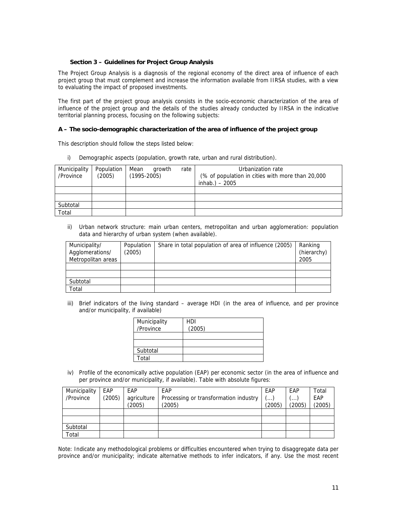## **Section 3 – Guidelines for Project Group Analysis**

The Project Group Analysis is a diagnosis of the regional economy of the direct area of influence of each project group that must complement and increase the information available from IIRSA studies, with a view to evaluating the impact of proposed investments.

The first part of the project group analysis consists in the socio-economic characterization of the area of influence of the project group and the details of the studies already conducted by IIRSA in the indicative territorial planning process, focusing on the following subjects:

#### **A – The socio-demographic characterization of the area of influence of the project group**

This description should follow the steps listed below:

i) Demographic aspects (population, growth rate, urban and rural distribution).

| Municipality<br>/Province | Population<br>(2005) | Mean<br>$(1995 - 2005)$ | arowth<br>rate | Urbanization rate<br>(% of population in cities with more than 20,000<br>inhab.) $-2005$ |
|---------------------------|----------------------|-------------------------|----------------|------------------------------------------------------------------------------------------|
|                           |                      |                         |                |                                                                                          |
|                           |                      |                         |                |                                                                                          |
| Subtotal                  |                      |                         |                |                                                                                          |
| Total                     |                      |                         |                |                                                                                          |

ii) Urban network structure: main urban centers, metropolitan and urban agglomeration: population data and hierarchy of urban system (when available).

| Municipality/      | Population | Share in total population of area of influence (2005) | Ranking     |
|--------------------|------------|-------------------------------------------------------|-------------|
| Agglomerations/    | (2005)     |                                                       | (hierarchy) |
| Metropolitan areas |            |                                                       | 2005        |
|                    |            |                                                       |             |
|                    |            |                                                       |             |
| Subtotal           |            |                                                       |             |
| Total              |            |                                                       |             |

iii) Brief indicators of the living standard – average HDI (in the area of influence, and per province and/or municipality, if available)

| Municipality<br>/Province | HDI<br>(2005) |
|---------------------------|---------------|
|                           |               |
|                           |               |
| Subtotal                  |               |
| Total                     |               |

iv) Profile of the economically active population (EAP) per economic sector (in the area of influence and per province and/or municipality, if available). Table with absolute figures:

| Municipality | EAP    | EAP         | EAP                                   | EAP    | EAP                     | Total  |
|--------------|--------|-------------|---------------------------------------|--------|-------------------------|--------|
| /Province    | (2005) | agriculture | Processing or transformation industry | $($    | $\left( \ldots \right)$ | EAP    |
|              |        | (2005)      | (2005)                                | (2005) | (2005)                  | (2005) |
|              |        |             |                                       |        |                         |        |
|              |        |             |                                       |        |                         |        |
| Subtotal     |        |             |                                       |        |                         |        |
| Total        |        |             |                                       |        |                         |        |

Note: Indicate any methodological problems or difficulties encountered when trying to disaggregate data per province and/or municipality; indicate alternative methods to infer indicators, if any. Use the most recent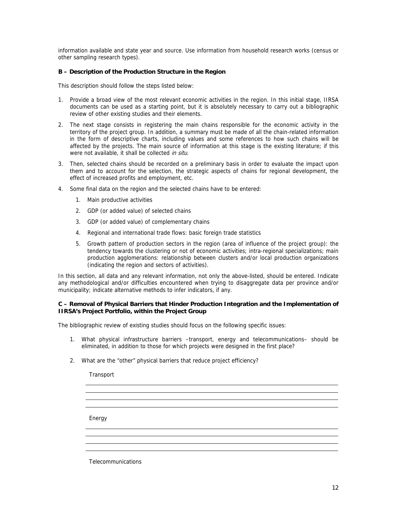information available and state year and source. Use information from household research works (census or other sampling research types).

## **B – Description of the Production Structure in the Region**

This description should follow the steps listed below:

- 1. Provide a broad view of the most relevant economic activities in the region. In this initial stage, IIRSA documents can be used as a starting point, but it is absolutely necessary to carry out a bibliographic review of other existing studies and their elements.
- 2. The next stage consists in registering the main chains responsible for the economic activity in the territory of the project group. In addition, a summary must be made of all the chain-related information in the form of descriptive charts, including values and some references to how such chains will be affected by the projects. The main source of information at this stage is the existing literature; if this were not available, it shall be collected in situ.
- 3. Then, selected chains should be recorded on a preliminary basis in order to evaluate the impact upon them and to account for the selection, the strategic aspects of chains for regional development, the effect of increased profits and employment, etc.
- 4. Some final data on the region and the selected chains have to be entered:
	- 1. Main productive activities
	- 2. GDP (or added value) of selected chains
	- 3. GDP (or added value) of complementary chains
	- 4. Regional and international trade flows: basic foreign trade statistics
	- 5. Growth pattern of production sectors in the region (area of influence of the project group): the tendency towards the clustering or not of economic activities; intra-regional specializations; main production agglomerations: relationship between clusters and/or local production organizations (indicating the region and sectors of activities).

In this section, all data and any relevant information, not only the above-listed, should be entered. Indicate any methodological and/or difficulties encountered when trying to disaggregate data per province and/or municipality; indicate alternative methods to infer indicators, if any.

## **C – Removal of Physical Barriers that Hinder Production Integration and the Implementation of IIRSA's Project Portfolio, within the Project Group**

The bibliographic review of existing studies should focus on the following specific issues:

- 1. What physical infrastructure barriers –transport, energy and telecommunications– should be eliminated, in addition to those for which projects were designed in the first place?
- 2. What are the "other" physical barriers that reduce project efficiency?

**Transport** 

Energy

**Telecommunications**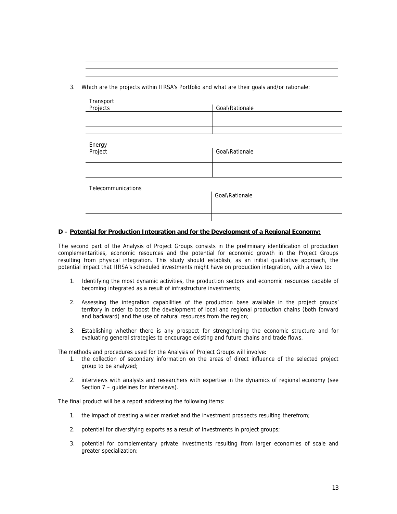3. Which are the projects within IIRSA's Portfolio and what are their goals and/or rationale:

| Transport          |                |
|--------------------|----------------|
| Projects           | Goal\Rationale |
|                    |                |
|                    |                |
|                    |                |
|                    |                |
| Energy             |                |
| Project            | Goal\Rationale |
|                    |                |
|                    |                |
|                    |                |
|                    |                |
| Telecommunications |                |
|                    | Goal\Rationale |
|                    |                |
|                    |                |
|                    |                |

## **D – Potential for Production Integration and for the Development of a Regional Economy:**

The second part of the Analysis of Project Groups consists in the preliminary identification of production complementarities, economic resources and the potential for economic growth in the Project Groups resulting from physical integration. This study should establish, as an initial qualitative approach, the potential impact that IIRSA's scheduled investments might have on production integration, with a view to:

- 1. Identifying the most dynamic activities, the production sectors and economic resources capable of becoming integrated as a result of infrastructure investments;
- 2. Assessing the integration capabilities of the production base available in the project groups' territory in order to boost the development of local and regional production chains (both forward and backward) and the use of natural resources from the region;
- 3. Establishing whether there is any prospect for strengthening the economic structure and for evaluating general strategies to encourage existing and future chains and trade flows.

The methods and procedures used for the Analysis of Project Groups will involve:

- 1. the collection of secondary information on the areas of direct influence of the selected project group to be analyzed;
- 2. interviews with analysts and researchers with expertise in the dynamics of regional economy (see Section 7 – quidelines for interviews).

The final product will be a report addressing the following items:

- 1. the impact of creating a wider market and the investment prospects resulting therefrom;
- 2. potential for diversifying exports as a result of investments in project groups;
- 3. potential for complementary private investments resulting from larger economies of scale and greater specialization;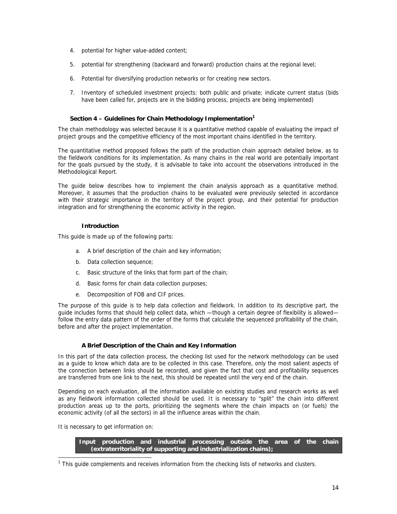- 4. potential for higher value-added content;
- 5. potential for strengthening (backward and forward) production chains at the regional level;
- 6. Potential for diversifying production networks or for creating new sectors.
- 7. Inventory of scheduled investment projects: both public and private; indicate current status (bids have been called for, projects are in the bidding process, projects are being implemented)

#### Section 4 – Guidelines for Chain Methodology Implementation<sup>1</sup>

The chain methodology was selected because it is a quantitative method capable of evaluating the impact of project groups and the competitive efficiency of the most important chains identified in the territory.

The quantitative method proposed follows the path of the production chain approach detailed below, as to the fieldwork conditions for its implementation. As many chains in the real world are potentially important for the goals pursued by the study, it is advisable to take into account the observations introduced in the Methodological Report.

The guide below describes how to implement the chain analysis approach as a quantitative method. Moreover, it assumes that the production chains to be evaluated were previously selected in accordance with their strategic importance in the territory of the project group, and their potential for production integration and for strengthening the economic activity in the region.

## **Introduction**

This guide is made up of the following parts:

- a. A brief description of the chain and key information;
- b. Data collection sequence;
- c. Basic structure of the links that form part of the chain;
- d. Basic forms for chain data collection purposes;
- e. Decomposition of FOB and CIF prices.

The purpose of this guide is to help data collection and fieldwork. In addition to its descriptive part, the guide includes forms that should help collect data, which —though a certain degree of flexibility is allowed follow the entry data pattern of the order of the forms that calculate the sequenced profitability of the chain, before and after the project implementation.

# **A Brief Description of the Chain and Key Information**

In this part of the data collection process, the checking list used for the network methodology can be used as a guide to know which data are to be collected in this case. Therefore, only the most salient aspects of the connection between links should be recorded, and given the fact that cost and profitability sequences are transferred from one link to the next, this should be repeated until the very end of the chain.

Depending on each evaluation, all the information available on existing studies and research works as well as any fieldwork information collected should be used. It is necessary to "split" the chain into different production areas up to the ports, prioritizing the segments where the chain impacts on (or fuels) the economic activity (of all the sectors) in all the influence areas within the chain.

It is necessary to get information on:

l

**Input production and industrial processing outside the area of the chain (extraterritoriality of supporting and industrialization chains);** 

<span id="page-13-0"></span><sup>&</sup>lt;sup>1</sup> This guide complements and receives information from the checking lists of networks and clusters.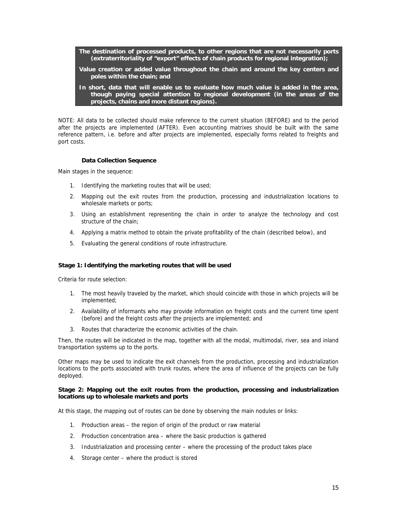**The destination of processed products, to other regions that are not necessarily ports (extraterritoriality of "export" effects of chain products for regional integration);** 

- **Value creation or added value throughout the chain and around the key centers and poles within the chain; and**
- **In short, data that will enable us to evaluate how much value is added in the area, though paying special attention to regional development (in the areas of the projects, chains and more distant regions).**

NOTE: All data to be collected should make reference to the current situation (BEFORE) and to the period after the projects are implemented (AFTER). Even accounting matrixes should be built with the same reference pattern, i.e. before and after projects are implemented, especially forms related to freights and port costs.

#### **Data Collection Sequence**

Main stages in the sequence:

- 1. Identifying the marketing routes that will be used;
- 2. Mapping out the exit routes from the production, processing and industrialization locations to wholesale markets or ports;
- 3. Using an establishment representing the chain in order to analyze the technology and cost structure of the chain;
- 4. Applying a matrix method to obtain the private profitability of the chain (described below), and
- 5. Evaluating the general conditions of route infrastructure.

#### **Stage 1: Identifying the marketing routes that will be used**

Criteria for route selection:

- 1. The most heavily traveled by the market, which should coincide with those in which projects will be implemented;
- 2. Availability of informants who may provide information on freight costs and the current time spent (before) and the freight costs after the projects are implemented; and
- 3. Routes that characterize the economic activities of the chain.

Then, the routes will be indicated in the map, together with all the modal, multimodal, river, sea and inland transportation systems up to the ports.

Other maps may be used to indicate the exit channels from the production, processing and industrialization locations to the ports associated with trunk routes, where the area of influence of the projects can be fully deployed.

#### **Stage 2: Mapping out the exit routes from the production, processing and industrialization locations up to wholesale markets and ports**

At this stage, the mapping out of routes can be done by observing the main nodules or links:

- 1. Production areas the region of origin of the product or raw material
- 2. Production concentration area where the basic production is gathered
- 3. Industrialization and processing center where the processing of the product takes place
- 4. Storage center where the product is stored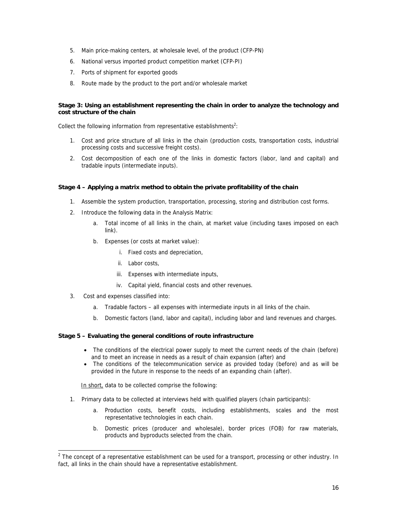- 5. Main price-making centers, at wholesale level, of the product (CFP-PN)
- 6. National versus imported product competition market (CFP-PI)
- 7. Ports of shipment for exported goods
- 8. Route made by the product to the port and/or wholesale market

## **Stage 3: Using an establishment representing the chain in order to analyze the technology and cost structure of the chain**

Collect the following information from representative establishments<sup>[2](#page-15-0)</sup>:

- 1. Cost and price structure of all links in the chain (production costs, transportation costs, industrial processing costs and successive freight costs).
- 2. Cost decomposition of each one of the links in domestic factors (labor, land and capital) and tradable inputs (intermediate inputs).

## **Stage 4 – Applying a matrix method to obtain the private profitability of the chain**

- 1. Assemble the system production, transportation, processing, storing and distribution cost forms.
- 2. Introduce the following data in the Analysis Matrix:
	- a. Total income of all links in the chain, at market value (including taxes imposed on each link).
	- b. Expenses (or costs at market value):
		- i. Fixed costs and depreciation,
		- ii. Labor costs,
		- iii. Expenses with intermediate inputs,
		- iv. Capital yield, financial costs and other revenues.
- 3. Cost and expenses classified into:

l

- a. Tradable factors all expenses with intermediate inputs in all links of the chain.
- b. Domestic factors (land, labor and capital), including labor and land revenues and charges.

#### **Stage 5 – Evaluating the general conditions of route infrastructure**

- The conditions of the electrical power supply to meet the current needs of the chain (before) and to meet an increase in needs as a result of chain expansion (after) and
- The conditions of the telecommunication service as provided today (before) and as will be provided in the future in response to the needs of an expanding chain (after).

In short, data to be collected comprise the following:

- 1. Primary data to be collected at interviews held with qualified players (chain participants):
	- a. Production costs, benefit costs, including establishments, scales and the most representative technologies in each chain.
	- b. Domestic prices (producer and wholesale), border prices (FOB) for raw materials, products and byproducts selected from the chain.

<span id="page-15-0"></span> $2$  The concept of a representative establishment can be used for a transport, processing or other industry. In fact, all links in the chain should have a representative establishment.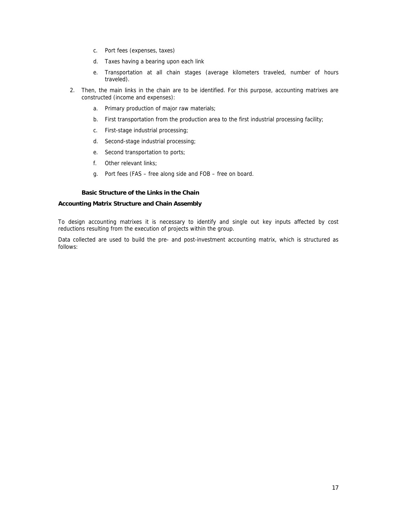- c. Port fees (expenses, taxes)
- d. Taxes having a bearing upon each link
- e. Transportation at all chain stages (average kilometers traveled, number of hours traveled).
- 2. Then, the main links in the chain are to be identified. For this purpose, accounting matrixes are constructed (income and expenses):
	- a. Primary production of major raw materials;
	- b. First transportation from the production area to the first industrial processing facility;
	- c. First-stage industrial processing;
	- d. Second-stage industrial processing;
	- e. Second transportation to ports;
	- f. Other relevant links;
	- g. Port fees (FAS free along side and FOB free on board.

## **Basic Structure of the Links in the Chain**

#### **Accounting Matrix Structure and Chain Assembly**

To design accounting matrixes it is necessary to identify and single out key inputs affected by cost reductions resulting from the execution of projects within the group.

Data collected are used to build the pre- and post-investment accounting matrix, which is structured as follows: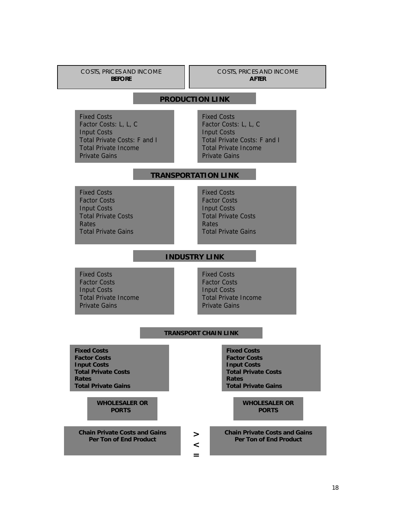COSTS, PRICES AND INCOME **BEFORE** 

COSTS, PRICES AND INCOME **AFTER** 

# **PRODUCTION LINK**

Fixed Costs Factor Costs: L, L, C Input Costs Total Private Costs: F and I Total Private Income Private Gains

Fixed Costs Factor Costs: L, L, C Input Costs Total Private Costs: F and I Total Private Income Private Gains

# **TRANSPORTATION LINK**

Fixed Costs Factor Costs Input Costs Total Private Costs **Rates** Total Private Gains Fixed Costs Factor Costs Input Costs Total Private Costs Rates Total Private Gains

**INDUSTRY LINK**

Fixed Costs Factor Costs Input Costs Total Private Income Private Gains

Fixed Costs Factor Costs Input Costs Total Private Income Private Gains

#### **TRANSPORT CHAIN LINK**

**> < =**

**Fixed Costs Factor Costs Input Costs Total Private Costs Rates Total Private Gains** 

> **WHOLESALER OR PORTS**

**Chain Private Costs and Gains Per Ton of End Product** 

**Fixed Costs Factor Costs Input Costs Total Private Costs Rates Total Private Gains** 

> **WHOLESALER OR PORTS**

**[Chain Private Costs and Gains](#page-13-0)  Per Ton of End Product**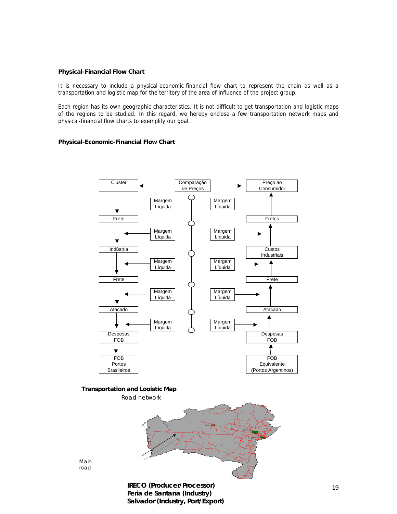#### **Physical-Financial Flow Chart**

It is necessary to include a physical-economic-financial flow chart to represent the chain as well as a transportation and logistic map for the territory of the area of influence of the project group.

Each region has its own geographic characteristics. It is not difficult to get transportation and logistic maps of the regions to be studied. In this regard, we hereby enclose a few transportation network maps and physical-financial flow charts to exemplify our goal.

#### **Physical-Economic-Financial Flow Chart**



Main road

> Salvador (Industry, Port/Export) Feria de Santana (Industry)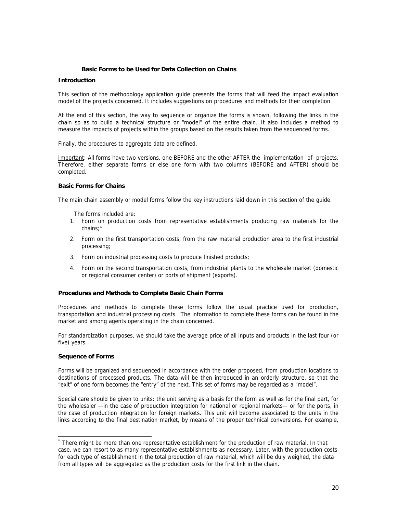#### **Basic Forms to be Used for Data Collection on Chains**

## **Introduction**

This section of the methodology application guide presents the forms that will feed the impact evaluation model of the projects concerned. It includes suggestions on procedures and methods for their completion.

At the end of this section, the way to sequence or organize the forms is shown, following the links in the chain so as to build a technical structure or "model" of the entire chain. It also includes a method to measure the impacts of projects within the groups based on the results taken from the sequenced forms.

Finally, the procedures to aggregate data are defined.

Important: All forms have two versions, one BEFORE and the other AFTER the implementation of projects. Therefore, either separate forms or else one form with two columns (BEFORE and AFTER) should be completed.

#### **Basic Forms for Chains**

The main chain assembly or model forms follow the key instructions laid down in this section of the guide.

The forms included are:

- 1. Form on production costs from representative establishments producing raw materials for the chains[;\\*](#page-19-0)
- 2. Form on the first transportation costs, from the raw material production area to the first industrial processing;
- 3. Form on industrial processing costs to produce finished products;
- 4. Form on the second transportation costs, from industrial plants to the wholesale market (domestic or regional consumer center) or ports of shipment (exports).

#### **Procedures and Methods to Complete Basic Chain Forms**

Procedures and methods to complete these forms follow the usual practice used for production, transportation and industrial processing costs. The information to complete these forms can be found in the market and among agents operating in the chain concerned.

For standardization purposes, we should take the average price of all inputs and products in the last four (or five) years.

#### **Sequence of Forms**

l

Forms will be organized and sequenced in accordance with the order proposed, from production locations to destinations of processed products. The data will be then introduced in an orderly structure, so that the "exit" of one form becomes the "entry" of the next. This set of forms may be regarded as a "model".

Special care should be given to units: the unit serving as a basis for the form as well as for the final part, for the wholesaler —in the case of production integration for national or regional markets— or for the ports, in the case of production integration for foreign markets. This unit will become associated to the units in the links according to the final destination market, by means of the proper technical conversions. For example,

<span id="page-19-0"></span><sup>\*</sup> There might be more than one representative establishment for the production of raw material. In that case, we can resort to as many representative establishments as necessary. Later, with the production costs for each type of establishment in the total production of raw material, which will be duly weighed, the data from all types will be aggregated as the production costs for the first link in the chain.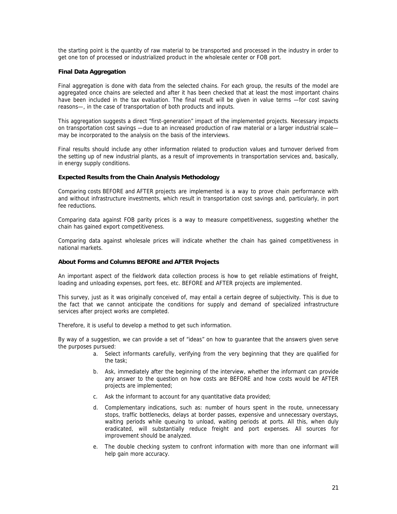the starting point is the quantity of raw material to be transported and processed in the industry in order to get one ton of processed or industrialized product in the wholesale center or FOB port.

## **Final Da ta Aggregation**

Final aggregation is done with data from the selected chains. For each group, the results of the model are have been included in the tax evaluation. The final result will be given in value terms -for cost saving reasons-, in the case of transportation of both products and inputs. aggregated once chains are selected and after it has been checked that at least the most important chains

may be incorporated to the analysis on the basis of the interviews. This aggregation suggests a direct "first-generation" impact of the implemented projects. Necessary impacts on transportation cost savings —due to an increased production of raw material or a larger industrial scale—

Final results should include any other information related to production values and turnover derived from the setting up of new industrial plants, as a result of improvements in transportation services and, basically, in energy supply conditions.

#### **xpected Results from the Chain Analysis Methodology E**

Comparing costs BEFORE and AFTER projects are implemented is a way to prove chain performance with and without infrastructure investments, which result in transportation cost savings and, particularly, in port fee reductions.

Com paring data against FOB parity prices is a way to measure competitiveness, suggesting whether the chain has gained export competitiveness.

Comparing data against wholesale prices will indicate whether the chain has gained competitiveness in national markets.

#### **About Forms and Columns BEFORE and AFTER Projects**

An important aspect of the fieldwork data collection process is how to get reliable estimations of freight, loading and unloading expenses, port fees, etc. BEFORE and AFTER projects are implemented.

This survey, just as it was originally conceived of, may entail a certain degree of subjectivity. This is due to the fact that we cannot anticipate the conditions for supply and demand of specialized infrastructure services after project works are completed.

Therefore, it is useful to develop a method to get such information.

the purposes pursued: By way of a suggestion, we can provide a set of "ideas" on how to guarantee that the answers given serve

- a. Select informants carefully, verifying from the very beginning that they are qualified for the task;
- b. Ask, immediately after the beginning of the interview, whether the informant can provide any answer to the question on how costs are BEFORE and how costs would be AFTER projects are implemented;
- c. Ask the informant to account for any quantitative data provided;
- eradicated, will substantially reduce freight and port expenses. All sources for improvement should be analyzed. d. Complementary indications, such as: number of hours spent in the route, unnecessary stops, traffic bottlenecks, delays at border passes, expensive and unnecessary overstays, waiting periods while queuing to unload, waiting periods at ports. All this, when duly
- e. The double checking system to confront information with more than one informant will help gain more accuracy.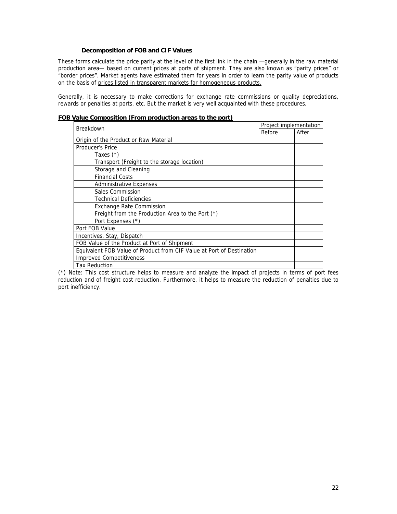# **Decomposition of FOB and CIF Values**

These forms calculate the price parity at the level of the first link in the chain —generally in the raw material production area— based on current prices at ports of shipment. They are also known as "parity prices" or "border prices". Market agents have estimated them for years in order to learn the parity value of products on the basis of prices listed in transparent markets for homogeneous products.

Generally, it is necessary to make corrections for exchange rate commissions or quality depreciations, rewards or penalties at ports, etc. But the market is very well acquainted with these procedures.

| raidd oollipositioli (Frolli productioli arcas to tho port)           | Project implementation |       |  |
|-----------------------------------------------------------------------|------------------------|-------|--|
| Breakdown                                                             | Before                 | After |  |
| Origin of the Product or Raw Material                                 |                        |       |  |
| Producer's Price                                                      |                        |       |  |
| Taxes $(*)$                                                           |                        |       |  |
| Transport (Freight to the storage location)                           |                        |       |  |
| Storage and Cleaning                                                  |                        |       |  |
| <b>Financial Costs</b>                                                |                        |       |  |
| <b>Administrative Expenses</b>                                        |                        |       |  |
| Sales Commission                                                      |                        |       |  |
| <b>Technical Deficiencies</b>                                         |                        |       |  |
| <b>Exchange Rate Commission</b>                                       |                        |       |  |
| Freight from the Production Area to the Port (*)                      |                        |       |  |
| Port Expenses (*)                                                     |                        |       |  |
| Port FOB Value                                                        |                        |       |  |
| Incentives, Stay, Dispatch                                            |                        |       |  |
| FOB Value of the Product at Port of Shipment                          |                        |       |  |
| Equivalent FOB Value of Product from CIF Value at Port of Destination |                        |       |  |
| <b>Improved Competitiveness</b>                                       |                        |       |  |
| <b>Tax Reduction</b>                                                  |                        |       |  |

**FOB Value Composition (From production areas to the port)**

(\*) Note: This cost structure helps to measure and analyze the impact of projects in terms of port fees reduction and of freight cost reduction. Furthermore, it helps to measure the reduction of penalties due to port inefficiency.